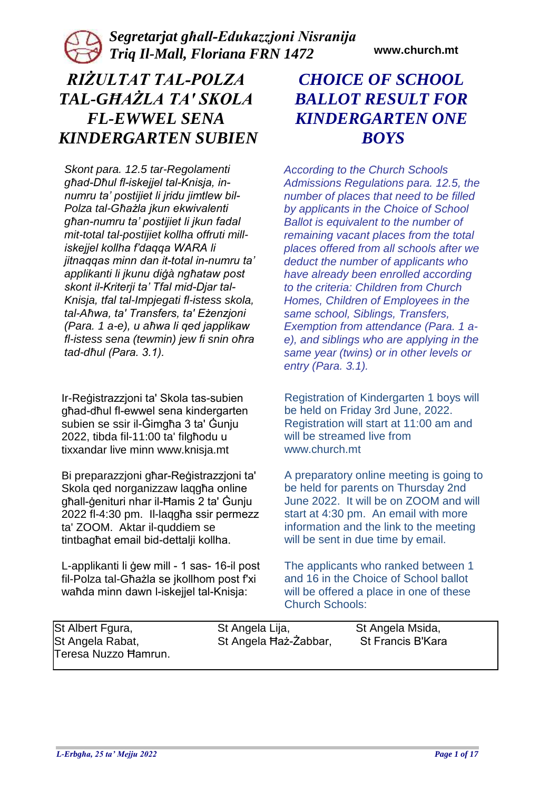### *Segretarjat għall-Edukazzjoni Nisranija Triq Il-Mall, Floriana FRN 1472* **www.church.mt**

# *RIŻULTAT TAL-POLZA TAL-GĦAŻLA TA' SKOLA FL-EWWEL SENA KINDERGARTEN SUBIEN*

*Skont para. 12.5 tar-Regolamenti għad-Dħul fl-iskejjel tal-Knisja, innumru ta' postijiet li jridu jimtlew bil-Polza tal-Għażla jkun ekwivalenti għan-numru ta' postijiet li jkun fadal mit-total tal-postijiet kollha offruti milliskejjel kollha f'daqqa WARA li jitnaqqas minn dan it-total in-numru ta' applikanti li jkunu diġà ngħataw post skont il-Kriterji ta' Tfal mid-Djar tal-Knisja, tfal tal-Impjegati fl-istess skola, tal-Aħwa, ta' Transfers, ta' Eżenzjoni (Para. 1 a-e), u aħwa li qed japplikaw fl-istess sena (tewmin) jew fi snin oħra tad-dħul (Para. 3.1).* 

Ir-Reġistrazzjoni ta' Skola tas-subien għad-dħul fl-ewwel sena kindergarten subien se ssir il-Ġimgħa 3 ta' Ġunju 2022, tibda fil-11:00 ta' filgħodu u tixxandar live minn www.knisja.mt

Bi preparazzjoni għar-Reġistrazzjoni ta' Skola qed norganizzaw laqgħa online għall-ġenituri nhar il-Ħamis 2 ta' Ġunju 2022 fl-4:30 pm. Il-laqgħa ssir permezz ta' ZOOM. Aktar il-quddiem se tintbagħat email bid-dettalji kollha.

L-applikanti li ġew mill - 1 sas- 16-il post fil-Polza tal-Għażla se jkollhom post f'xi waħda minn dawn l-iskejjel tal-Knisja:

## *CHOICE OF SCHOOL BALLOT RESULT FOR KINDERGARTEN ONE BOYS*

*According to the Church Schools Admissions Regulations para. 12.5, the number of places that need to be filled by applicants in the Choice of School Ballot is equivalent to the number of remaining vacant places from the total places offered from all schools after we deduct the number of applicants who have already been enrolled according to the criteria: Children from Church Homes, Children of Employees in the same school, Siblings, Transfers, Exemption from attendance (Para. 1 ae), and siblings who are applying in the same year (twins) or in other levels or entry (Para. 3.1).* 

Registration of Kindergarten 1 boys will be held on Friday 3rd June, 2022. Registration will start at 11:00 am and will be streamed live from www.church.mt

A preparatory online meeting is going to be held for parents on Thursday 2nd June 2022. It will be on ZOOM and will start at 4:30 pm. An email with more information and the link to the meeting will be sent in due time by email.

The applicants who ranked between 1 and 16 in the Choice of School ballot will be offered a place in one of these Church Schools:

| St Albert Fgura,     | St Angela Lija,       | St Angela Msida,  |
|----------------------|-----------------------|-------------------|
| St Angela Rabat,     | St Angela Haż-Żabbar, | St Francis B'Kara |
| Teresa Nuzzo Hamrun. |                       |                   |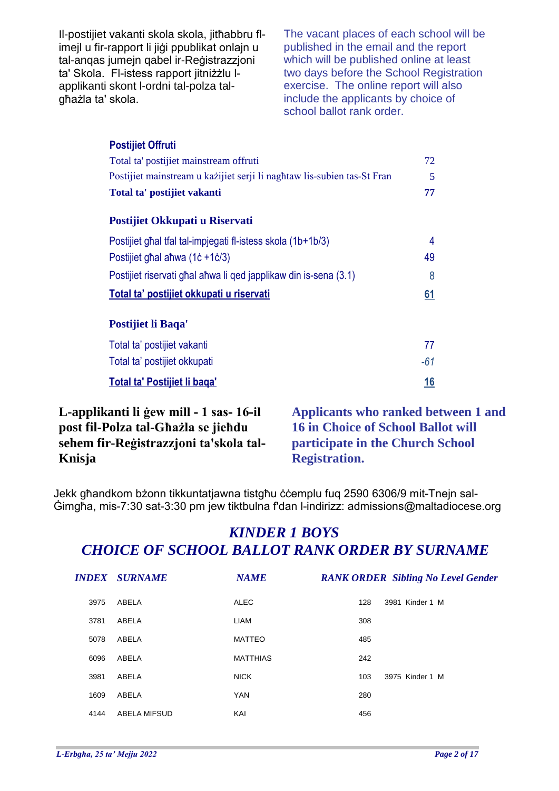Il-postijiet vakanti skola skola, jitħabbru flimejl u fir-rapport li jiġi ppublikat onlajn u tal-anqas jumejn qabel ir-Reġistrazzjoni ta' Skola. Fl-istess rapport jitniżżlu lapplikanti skont l-ordni tal-polza talgħażla ta' skola.

The vacant places of each school will be published in the email and the report which will be published online at least two days before the School Registration exercise. The online report will also include the applicants by choice of school ballot rank order.

| <b>Postijiet Offruti</b>                                                |           |
|-------------------------------------------------------------------------|-----------|
| Total ta' postijiet mainstream offruti                                  | 72        |
| Postijiet mainstream u każijiet serji li naghtaw lis-subien tas-St Fran | 5         |
| Total ta' postijiet vakanti                                             | 77        |
| Postijiet Okkupati u Riservati                                          |           |
| Postijiet ghal tfal tal-impjegati fl-istess skola (1b+1b/3)             | 4         |
| Postijiet ghal ahwa (1c +1c/3)                                          | 49        |
| Postijiet riservati ghal ahwa li ged japplikaw din is-sena (3.1)        | 8         |
| Total ta' postijiet okkupati u riservati                                | <u>61</u> |
| Postijiet li Baqa'                                                      |           |
| Total ta' postijiet vakanti                                             | 77        |
| Total ta' postijiet okkupati                                            | $-61$     |
| Total ta' Postijiet li baga'                                            | <u>16</u> |

**L-applikanti li ġew mill - 1 sas- 16-il post fil-Polza tal-Għażla se jieħdu sehem fir-Reġistrazzjoni ta'skola tal-Knisja**

**Applicants who ranked between 1 and 16 in Choice of School Ballot will participate in the Church School Registration.**

Jekk għandkom bżonn tikkuntatjawna tistgħu ċċemplu fuq 2590 6306/9 mit-Tnejn sal-Ġimgħa, mis-7:30 sat-3:30 pm jew tiktbulna f'dan l-indirizz: admissions@maltadiocese.org

|      | <b>INDEX SURNAME</b> | <b>NAME</b>     |     | <b>RANK ORDER Sibling No Level Gender</b> |
|------|----------------------|-----------------|-----|-------------------------------------------|
| 3975 | ABELA                | <b>ALEC</b>     | 128 | 3981 Kinder 1 M                           |
| 3781 | ABELA                | LIAM            | 308 |                                           |
| 5078 | ABELA                | <b>MATTEO</b>   | 485 |                                           |
| 6096 | ABELA                | <b>MATTHIAS</b> | 242 |                                           |
| 3981 | ABELA                | <b>NICK</b>     | 103 | 3975 Kinder 1 M                           |
| 1609 | ABELA                | <b>YAN</b>      | 280 |                                           |
| 4144 | <b>ABELA MIFSUD</b>  | KAI             | 456 |                                           |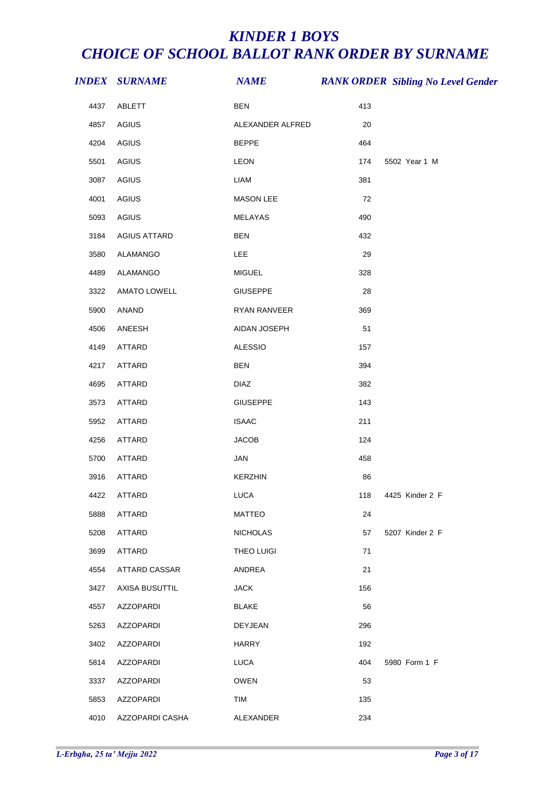|      | <b>INDEX SURNAME</b> | <b>NAME</b>       |     | <b>RANK ORDER Sibling No Level Gender</b> |
|------|----------------------|-------------------|-----|-------------------------------------------|
| 4437 | ABLETT               | <b>BEN</b>        | 413 |                                           |
| 4857 | <b>AGIUS</b>         | ALEXANDER ALFRED  | 20  |                                           |
| 4204 | AGIUS                | <b>BEPPE</b>      | 464 |                                           |
| 5501 | AGIUS                | LEON              | 174 | 5502 Year 1 M                             |
| 3087 | AGIUS                | <b>LIAM</b>       | 381 |                                           |
| 4001 | AGIUS                | <b>MASON LEE</b>  | 72  |                                           |
| 5093 | AGIUS                | MELAYAS           | 490 |                                           |
| 3184 | <b>AGIUS ATTARD</b>  | <b>BEN</b>        | 432 |                                           |
| 3580 | ALAMANGO             | LEE               | 29  |                                           |
| 4489 | ALAMANGO             | <b>MIGUEL</b>     | 328 |                                           |
| 3322 | <b>AMATO LOWELL</b>  | <b>GIUSEPPE</b>   | 28  |                                           |
| 5900 | ANAND                | RYAN RANVEER      | 369 |                                           |
| 4506 | ANEESH               | AIDAN JOSEPH      | 51  |                                           |
| 4149 | ATTARD               | <b>ALESSIO</b>    | 157 |                                           |
| 4217 | ATTARD               | <b>BEN</b>        | 394 |                                           |
| 4695 | ATTARD               | <b>DIAZ</b>       | 382 |                                           |
| 3573 | ATTARD               | <b>GIUSEPPE</b>   | 143 |                                           |
| 5952 | ATTARD               | <b>ISAAC</b>      | 211 |                                           |
| 4256 | ATTARD               | <b>JACOB</b>      | 124 |                                           |
| 5700 | ATTARD               | <b>JAN</b>        | 458 |                                           |
| 3916 | ATTARD               | <b>KERZHIN</b>    | 86  |                                           |
| 4422 | <b>ATTARD</b>        | <b>LUCA</b>       | 118 | 4425 Kinder 2 F                           |
| 5888 | ATTARD               | <b>MATTEO</b>     | 24  |                                           |
| 5208 | ATTARD               | <b>NICHOLAS</b>   | 57  | 5207 Kinder 2 F                           |
| 3699 | ATTARD               | <b>THEO LUIGI</b> | 71  |                                           |
| 4554 | <b>ATTARD CASSAR</b> | ANDREA            | 21  |                                           |
| 3427 | AXISA BUSUTTIL       | <b>JACK</b>       | 156 |                                           |
| 4557 | <b>AZZOPARDI</b>     | <b>BLAKE</b>      | 56  |                                           |
| 5263 | AZZOPARDI            | <b>DEYJEAN</b>    | 296 |                                           |
| 3402 | <b>AZZOPARDI</b>     | <b>HARRY</b>      | 192 |                                           |
| 5814 | AZZOPARDI            | <b>LUCA</b>       | 404 | 5980 Form 1 F                             |
| 3337 | AZZOPARDI            | <b>OWEN</b>       | 53  |                                           |
| 5853 | <b>AZZOPARDI</b>     | TIM               | 135 |                                           |
| 4010 | AZZOPARDI CASHA      | ALEXANDER         | 234 |                                           |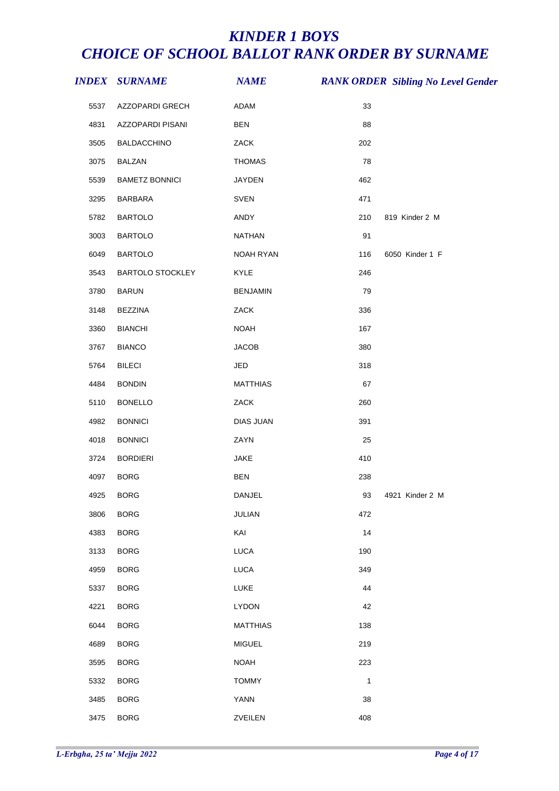|      | <b>INDEX SURNAME</b>    | <b>NAME</b>     |              | <b>RANK ORDER Sibling No Level Gender</b> |
|------|-------------------------|-----------------|--------------|-------------------------------------------|
| 5537 | AZZOPARDI GRECH         | ADAM            | 33           |                                           |
| 4831 | AZZOPARDI PISANI        | <b>BEN</b>      | 88           |                                           |
| 3505 | BALDACCHINO             | ZACK            | 202          |                                           |
| 3075 | <b>BALZAN</b>           | <b>THOMAS</b>   | 78           |                                           |
| 5539 | <b>BAMETZ BONNICI</b>   | JAYDEN          | 462          |                                           |
| 3295 | BARBARA                 | SVEN            | 471          |                                           |
| 5782 | <b>BARTOLO</b>          | ANDY            | 210          | 819 Kinder 2 M                            |
| 3003 | <b>BARTOLO</b>          | NATHAN          | 91           |                                           |
| 6049 | <b>BARTOLO</b>          | NOAH RYAN       | 116          | 6050 Kinder 1 F                           |
| 3543 | <b>BARTOLO STOCKLEY</b> | KYLE            | 246          |                                           |
| 3780 | <b>BARUN</b>            | <b>BENJAMIN</b> | 79           |                                           |
| 3148 | <b>BEZZINA</b>          | ZACK            | 336          |                                           |
| 3360 | <b>BIANCHI</b>          | <b>NOAH</b>     | 167          |                                           |
| 3767 | <b>BIANCO</b>           | <b>JACOB</b>    | 380          |                                           |
| 5764 | <b>BILECI</b>           | JED             | 318          |                                           |
| 4484 | <b>BONDIN</b>           | <b>MATTHIAS</b> | 67           |                                           |
| 5110 | <b>BONELLO</b>          | ZACK            | 260          |                                           |
| 4982 | <b>BONNICI</b>          | DIAS JUAN       | 391          |                                           |
| 4018 | <b>BONNICI</b>          | ZAYN            | 25           |                                           |
| 3724 | <b>BORDIERI</b>         | JAKE            | 410          |                                           |
| 4097 | <b>BORG</b>             | <b>BEN</b>      | 238          |                                           |
| 4925 | <b>BORG</b>             | DANJEL          | 93           | 4921 Kinder 2 M                           |
| 3806 | <b>BORG</b>             | JULIAN          | 472          |                                           |
| 4383 | <b>BORG</b>             | KAI             | 14           |                                           |
| 3133 | <b>BORG</b>             | <b>LUCA</b>     | 190          |                                           |
| 4959 | <b>BORG</b>             | <b>LUCA</b>     | 349          |                                           |
| 5337 | <b>BORG</b>             | LUKE            | 44           |                                           |
| 4221 | <b>BORG</b>             | <b>LYDON</b>    | 42           |                                           |
| 6044 | <b>BORG</b>             | <b>MATTHIAS</b> | 138          |                                           |
| 4689 | <b>BORG</b>             | <b>MIGUEL</b>   | 219          |                                           |
| 3595 | <b>BORG</b>             | <b>NOAH</b>     | 223          |                                           |
| 5332 | <b>BORG</b>             | <b>TOMMY</b>    | $\mathbf{1}$ |                                           |
| 3485 | <b>BORG</b>             | YANN            | 38           |                                           |
| 3475 | <b>BORG</b>             | ZVEILEN         | 408          |                                           |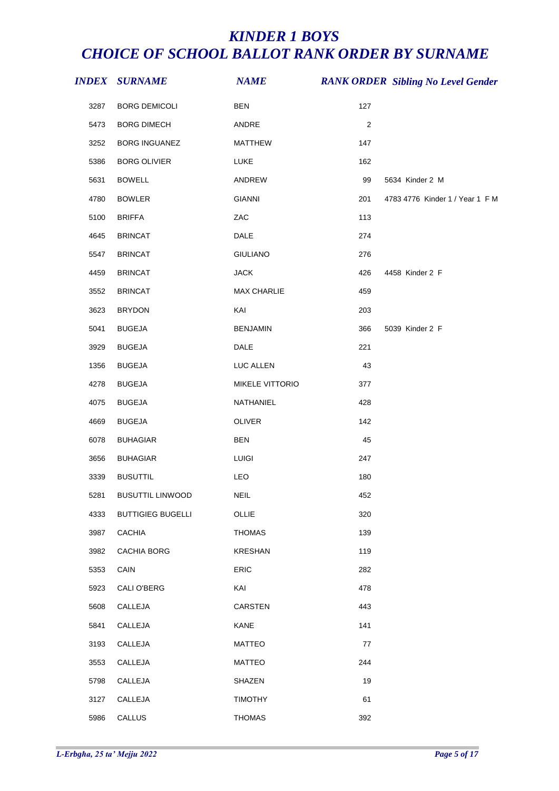|      | <b>INDEX SURNAME</b>     | <b>NAME</b>        |     | <b>RANK ORDER Sibling No Level Gender</b> |
|------|--------------------------|--------------------|-----|-------------------------------------------|
| 3287 | <b>BORG DEMICOLI</b>     | <b>BEN</b>         | 127 |                                           |
| 5473 | <b>BORG DIMECH</b>       | ANDRE              | 2   |                                           |
| 3252 | BORG INGUANEZ            | <b>MATTHEW</b>     | 147 |                                           |
| 5386 | <b>BORG OLIVIER</b>      | <b>LUKE</b>        | 162 |                                           |
| 5631 | <b>BOWELL</b>            | ANDREW             | 99  | 5634 Kinder 2 M                           |
| 4780 | <b>BOWLER</b>            | <b>GIANNI</b>      | 201 | 4783 4776 Kinder 1 / Year 1 F M           |
| 5100 | <b>BRIFFA</b>            | ZAC                | 113 |                                           |
| 4645 | <b>BRINCAT</b>           | DALE               | 274 |                                           |
| 5547 | <b>BRINCAT</b>           | <b>GIULIANO</b>    | 276 |                                           |
| 4459 | <b>BRINCAT</b>           | <b>JACK</b>        | 426 | 4458 Kinder 2 F                           |
| 3552 | <b>BRINCAT</b>           | <b>MAX CHARLIE</b> | 459 |                                           |
| 3623 | <b>BRYDON</b>            | KAI                | 203 |                                           |
| 5041 | <b>BUGEJA</b>            | <b>BENJAMIN</b>    | 366 | 5039 Kinder 2 F                           |
| 3929 | <b>BUGEJA</b>            | <b>DALE</b>        | 221 |                                           |
| 1356 | <b>BUGEJA</b>            | LUC ALLEN          | 43  |                                           |
| 4278 | <b>BUGEJA</b>            | MIKELE VITTORIO    | 377 |                                           |
| 4075 | <b>BUGEJA</b>            | NATHANIEL          | 428 |                                           |
| 4669 | <b>BUGEJA</b>            | OLIVER             | 142 |                                           |
| 6078 | <b>BUHAGIAR</b>          | <b>BEN</b>         | 45  |                                           |
| 3656 | <b>BUHAGIAR</b>          | <b>LUIGI</b>       | 247 |                                           |
| 3339 | <b>BUSUTTIL</b>          | LEO                | 180 |                                           |
| 5281 | <b>BUSUTTIL LINWOOD</b>  | <b>NEIL</b>        | 452 |                                           |
| 4333 | <b>BUTTIGIEG BUGELLI</b> | OLLIE              | 320 |                                           |
| 3987 | <b>CACHIA</b>            | <b>THOMAS</b>      | 139 |                                           |
| 3982 | <b>CACHIA BORG</b>       | <b>KRESHAN</b>     | 119 |                                           |
| 5353 | CAIN                     | ERIC               | 282 |                                           |
| 5923 | CALI O'BERG              | KAI                | 478 |                                           |
| 5608 | CALLEJA                  | <b>CARSTEN</b>     | 443 |                                           |
| 5841 | CALLEJA                  | KANE               | 141 |                                           |
| 3193 | CALLEJA                  | MATTEO             | 77  |                                           |
| 3553 | CALLEJA                  | <b>MATTEO</b>      | 244 |                                           |
| 5798 | CALLEJA                  | SHAZEN             | 19  |                                           |
| 3127 | CALLEJA                  | <b>TIMOTHY</b>     | 61  |                                           |
| 5986 | CALLUS                   | <b>THOMAS</b>      | 392 |                                           |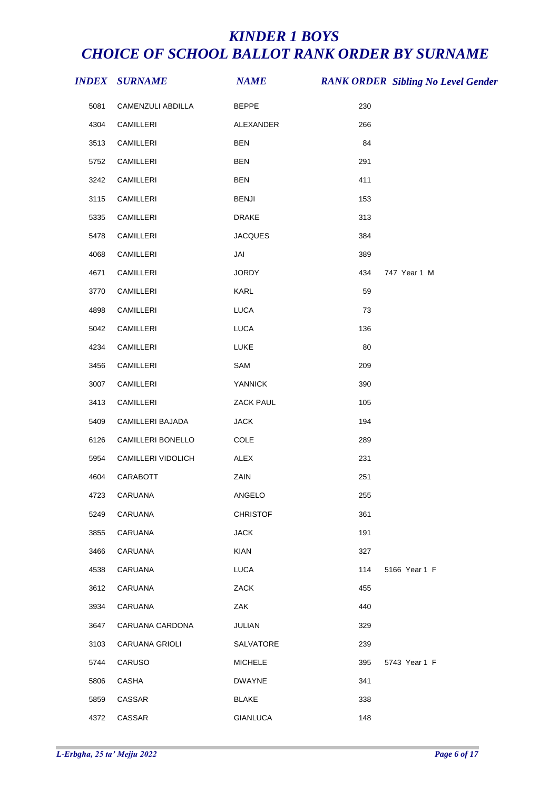|      | <i><b>INDEX SURNAME</b></i> | <b>NAME</b>      |     | <b>RANK ORDER Sibling No Level Gender</b> |
|------|-----------------------------|------------------|-----|-------------------------------------------|
| 5081 | CAMENZULI ABDILLA           | <b>BEPPE</b>     | 230 |                                           |
| 4304 | CAMILLERI                   | ALEXANDER        | 266 |                                           |
| 3513 | CAMILLERI                   | <b>BEN</b>       | 84  |                                           |
| 5752 | CAMILLERI                   | <b>BEN</b>       | 291 |                                           |
| 3242 | CAMILLERI                   | <b>BEN</b>       | 411 |                                           |
| 3115 | CAMILLERI                   | <b>BENJI</b>     | 153 |                                           |
| 5335 | CAMILLERI                   | <b>DRAKE</b>     | 313 |                                           |
| 5478 | CAMILLERI                   | <b>JACQUES</b>   | 384 |                                           |
| 4068 | CAMILLERI                   | JAI              | 389 |                                           |
| 4671 | CAMILLERI                   | <b>JORDY</b>     | 434 | 747 Year 1 M                              |
| 3770 | CAMILLERI                   | KARL             | 59  |                                           |
| 4898 | CAMILLERI                   | LUCA             | 73  |                                           |
| 5042 | CAMILLERI                   | LUCA             | 136 |                                           |
| 4234 | CAMILLERI                   | LUKE             | 80  |                                           |
| 3456 | CAMILLERI                   | SAM              | 209 |                                           |
| 3007 | CAMILLERI                   | <b>YANNICK</b>   | 390 |                                           |
| 3413 | CAMILLERI                   | ZACK PAUL        | 105 |                                           |
| 5409 | CAMILLERI BAJADA            | <b>JACK</b>      | 194 |                                           |
| 6126 | CAMILLERI BONELLO           | COLE             | 289 |                                           |
| 5954 | CAMILLERI VIDOLICH          | ALEX             | 231 |                                           |
| 4604 | CARABOTT                    | ZAIN             | 251 |                                           |
| 4723 | CARUANA                     | ANGELO           | 255 |                                           |
| 5249 | <b>CARUANA</b>              | <b>CHRISTOF</b>  | 361 |                                           |
| 3855 | CARUANA                     | <b>JACK</b>      | 191 |                                           |
| 3466 | <b>CARUANA</b>              | KIAN             | 327 |                                           |
| 4538 | <b>CARUANA</b>              | <b>LUCA</b>      | 114 | 5166 Year 1 F                             |
| 3612 | CARUANA                     | ZACK             | 455 |                                           |
| 3934 | CARUANA                     | ZAK              | 440 |                                           |
| 3647 | CARUANA CARDONA             | JULIAN           | 329 |                                           |
| 3103 | <b>CARUANA GRIOLI</b>       | <b>SALVATORE</b> | 239 |                                           |
| 5744 | CARUSO                      | <b>MICHELE</b>   | 395 | 5743 Year 1 F                             |
| 5806 | CASHA                       | <b>DWAYNE</b>    | 341 |                                           |
| 5859 | CASSAR                      | <b>BLAKE</b>     | 338 |                                           |
| 4372 | CASSAR                      | <b>GIANLUCA</b>  | 148 |                                           |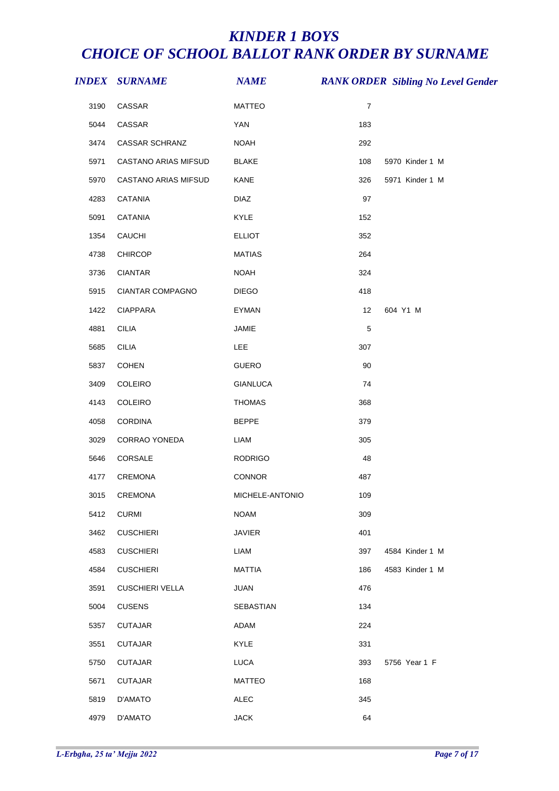|      | <i><b>INDEX SURNAME</b></i> | <b>NAME</b>     |                | <b>RANK ORDER Sibling No Level Gender</b> |
|------|-----------------------------|-----------------|----------------|-------------------------------------------|
| 3190 | CASSAR                      | <b>MATTEO</b>   | $\overline{7}$ |                                           |
| 5044 | CASSAR                      | <b>YAN</b>      | 183            |                                           |
| 3474 | CASSAR SCHRANZ              | <b>NOAH</b>     | 292            |                                           |
| 5971 | CASTANO ARIAS MIFSUD        | <b>BLAKE</b>    | 108            | 5970 Kinder 1 M                           |
| 5970 | CASTANO ARIAS MIFSUD        | KANE            | 326            | 5971 Kinder 1 M                           |
| 4283 | CATANIA                     | <b>DIAZ</b>     | 97             |                                           |
| 5091 | CATANIA                     | KYLE            | 152            |                                           |
| 1354 | CAUCHI                      | <b>ELLIOT</b>   | 352            |                                           |
| 4738 | <b>CHIRCOP</b>              | <b>MATIAS</b>   | 264            |                                           |
| 3736 | <b>CIANTAR</b>              | <b>NOAH</b>     | 324            |                                           |
| 5915 | CIANTAR COMPAGNO            | <b>DIEGO</b>    | 418            |                                           |
| 1422 | CIAPPARA                    | <b>EYMAN</b>    | 12             | 604 Y1 M                                  |
| 4881 | <b>CILIA</b>                | JAMIE           | $\,$ 5 $\,$    |                                           |
| 5685 | <b>CILIA</b>                | <b>LEE</b>      | 307            |                                           |
| 5837 | COHEN                       | <b>GUERO</b>    | 90             |                                           |
| 3409 | COLEIRO                     | <b>GIANLUCA</b> | 74             |                                           |
| 4143 | COLEIRO                     | <b>THOMAS</b>   | 368            |                                           |
| 4058 | CORDINA                     | <b>BEPPE</b>    | 379            |                                           |
| 3029 | CORRAO YONEDA               | <b>LIAM</b>     | 305            |                                           |
| 5646 | CORSALE                     | <b>RODRIGO</b>  | 48             |                                           |
| 4177 | CREMONA                     | CONNOR          | 487            |                                           |
| 3015 | <b>CREMONA</b>              | MICHELE-ANTONIO | 109            |                                           |
| 5412 | <b>CURMI</b>                | <b>NOAM</b>     | 309            |                                           |
| 3462 | <b>CUSCHIERI</b>            | <b>JAVIER</b>   | 401            |                                           |
| 4583 | <b>CUSCHIERI</b>            | <b>LIAM</b>     | 397            | 4584 Kinder 1 M                           |
| 4584 | <b>CUSCHIERI</b>            | <b>MATTIA</b>   | 186            | 4583 Kinder 1 M                           |
| 3591 | <b>CUSCHIERI VELLA</b>      | <b>JUAN</b>     | 476            |                                           |
| 5004 | <b>CUSENS</b>               | SEBASTIAN       | 134            |                                           |
| 5357 | <b>CUTAJAR</b>              | ADAM            | 224            |                                           |
| 3551 | <b>CUTAJAR</b>              | KYLE            | 331            |                                           |
| 5750 | <b>CUTAJAR</b>              | <b>LUCA</b>     | 393            | 5756 Year 1 F                             |
| 5671 | <b>CUTAJAR</b>              | <b>MATTEO</b>   | 168            |                                           |
| 5819 | D'AMATO                     | <b>ALEC</b>     | 345            |                                           |
| 4979 | D'AMATO                     | <b>JACK</b>     | 64             |                                           |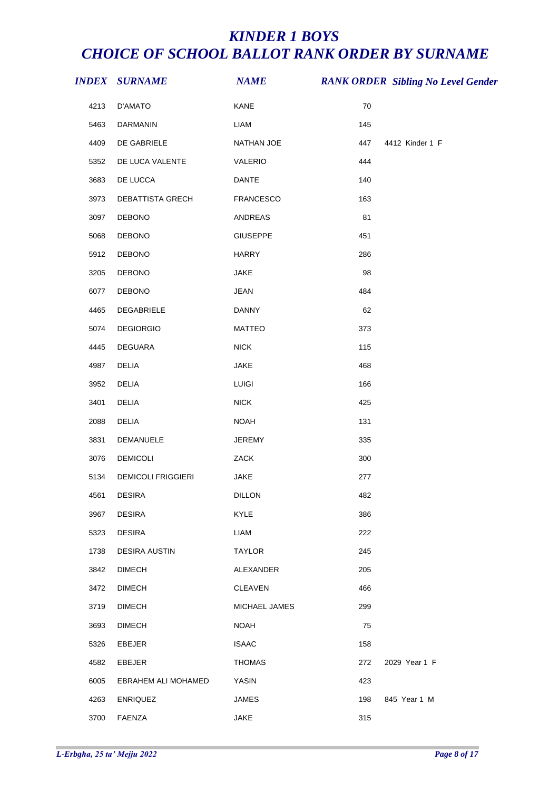|      | <i><b>INDEX SURNAME</b></i> | <b>NAME</b>      |     | <b>RANK ORDER Sibling No Level Gender</b> |
|------|-----------------------------|------------------|-----|-------------------------------------------|
| 4213 | <b>D'AMATO</b>              | KANE             | 70  |                                           |
| 5463 | DARMANIN                    | <b>LIAM</b>      | 145 |                                           |
| 4409 | DE GABRIELE                 | NATHAN JOE       | 447 | 4412 Kinder 1 F                           |
| 5352 | DE LUCA VALENTE             | VALERIO          | 444 |                                           |
| 3683 | DE LUCCA                    | <b>DANTE</b>     | 140 |                                           |
| 3973 | DEBATTISTA GRECH            | <b>FRANCESCO</b> | 163 |                                           |
| 3097 | DEBONO                      | ANDREAS          | 81  |                                           |
| 5068 | <b>DEBONO</b>               | <b>GIUSEPPE</b>  | 451 |                                           |
| 5912 | <b>DEBONO</b>               | <b>HARRY</b>     | 286 |                                           |
| 3205 | <b>DEBONO</b>               | <b>JAKE</b>      | 98  |                                           |
| 6077 | <b>DEBONO</b>               | <b>JEAN</b>      | 484 |                                           |
| 4465 | DEGABRIELE                  | <b>DANNY</b>     | 62  |                                           |
| 5074 | <b>DEGIORGIO</b>            | <b>MATTEO</b>    | 373 |                                           |
| 4445 | <b>DEGUARA</b>              | <b>NICK</b>      | 115 |                                           |
| 4987 | DELIA                       | JAKE             | 468 |                                           |
| 3952 | <b>DELIA</b>                | LUIGI            | 166 |                                           |
| 3401 | <b>DELIA</b>                | <b>NICK</b>      | 425 |                                           |
| 2088 | DELIA                       | <b>NOAH</b>      | 131 |                                           |
| 3831 | DEMANUELE                   | JEREMY           | 335 |                                           |
| 3076 | <b>DEMICOLI</b>             | ZACK             | 300 |                                           |
| 5134 | <b>DEMICOLI FRIGGIERI</b>   | <b>JAKE</b>      | 277 |                                           |
| 4561 | <b>DESIRA</b>               | <b>DILLON</b>    | 482 |                                           |
| 3967 | <b>DESIRA</b>               | KYLE             | 386 |                                           |
| 5323 | <b>DESIRA</b>               | LIAM             | 222 |                                           |
| 1738 | <b>DESIRA AUSTIN</b>        | <b>TAYLOR</b>    | 245 |                                           |
| 3842 | <b>DIMECH</b>               | ALEXANDER        | 205 |                                           |
| 3472 | <b>DIMECH</b>               | <b>CLEAVEN</b>   | 466 |                                           |
| 3719 | <b>DIMECH</b>               | MICHAEL JAMES    | 299 |                                           |
| 3693 | <b>DIMECH</b>               | <b>NOAH</b>      | 75  |                                           |
| 5326 | EBEJER                      | <b>ISAAC</b>     | 158 |                                           |
| 4582 | EBEJER                      | <b>THOMAS</b>    | 272 | 2029 Year 1 F                             |
| 6005 | EBRAHEM ALI MOHAMED         | <b>YASIN</b>     | 423 |                                           |
| 4263 | <b>ENRIQUEZ</b>             | <b>JAMES</b>     | 198 | 845 Year 1 M                              |
| 3700 | FAENZA                      | <b>JAKE</b>      | 315 |                                           |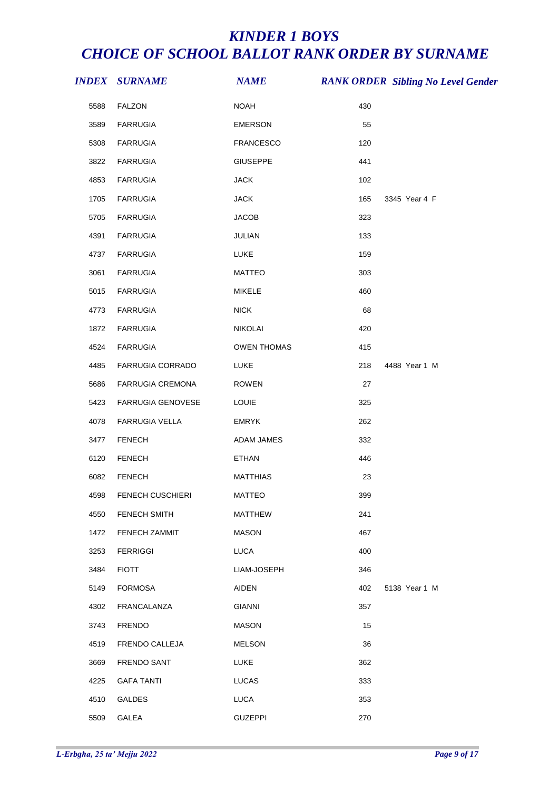|      | <b>INDEX SURNAME</b>    | <b>NAME</b>      |     | <b>RANK ORDER Sibling No Level Gender</b> |
|------|-------------------------|------------------|-----|-------------------------------------------|
| 5588 | <b>FALZON</b>           | <b>NOAH</b>      | 430 |                                           |
| 3589 | <b>FARRUGIA</b>         | <b>EMERSON</b>   | 55  |                                           |
| 5308 | <b>FARRUGIA</b>         | <b>FRANCESCO</b> | 120 |                                           |
| 3822 | <b>FARRUGIA</b>         | <b>GIUSEPPE</b>  | 441 |                                           |
| 4853 | <b>FARRUGIA</b>         | <b>JACK</b>      | 102 |                                           |
| 1705 | <b>FARRUGIA</b>         | <b>JACK</b>      | 165 | 3345 Year 4 F                             |
| 5705 | <b>FARRUGIA</b>         | <b>JACOB</b>     | 323 |                                           |
| 4391 | <b>FARRUGIA</b>         | JULIAN           | 133 |                                           |
| 4737 | <b>FARRUGIA</b>         | LUKE             | 159 |                                           |
| 3061 | <b>FARRUGIA</b>         | <b>MATTEO</b>    | 303 |                                           |
| 5015 | <b>FARRUGIA</b>         | <b>MIKELE</b>    | 460 |                                           |
| 4773 | <b>FARRUGIA</b>         | NICK             | 68  |                                           |
| 1872 | <b>FARRUGIA</b>         | NIKOLAI          | 420 |                                           |
| 4524 | <b>FARRUGIA</b>         | OWEN THOMAS      | 415 |                                           |
| 4485 | FARRUGIA CORRADO        | LUKE             | 218 | 4488 Year 1 M                             |
| 5686 | FARRUGIA CREMONA        | ROWEN            | 27  |                                           |
| 5423 | FARRUGIA GENOVESE       | <b>LOUIE</b>     | 325 |                                           |
| 4078 | FARRUGIA VELLA          | <b>EMRYK</b>     | 262 |                                           |
| 3477 | <b>FENECH</b>           | ADAM JAMES       | 332 |                                           |
| 6120 | <b>FENECH</b>           | <b>ETHAN</b>     | 446 |                                           |
| 6082 | <b>FENECH</b>           | <b>MATTHIAS</b>  | 23  |                                           |
| 4598 | <b>FENECH CUSCHIERI</b> | MATTEO           | 399 |                                           |
| 4550 | <b>FENECH SMITH</b>     | <b>MATTHEW</b>   | 241 |                                           |
| 1472 | FENECH ZAMMIT           | <b>MASON</b>     | 467 |                                           |
| 3253 | <b>FERRIGGI</b>         | <b>LUCA</b>      | 400 |                                           |
| 3484 | <b>FIOTT</b>            | LIAM-JOSEPH      | 346 |                                           |
| 5149 | <b>FORMOSA</b>          | <b>AIDEN</b>     | 402 | 5138 Year 1 M                             |
| 4302 | <b>FRANCALANZA</b>      | <b>GIANNI</b>    | 357 |                                           |
| 3743 | <b>FRENDO</b>           | <b>MASON</b>     | 15  |                                           |
| 4519 | FRENDO CALLEJA          | <b>MELSON</b>    | 36  |                                           |
| 3669 | FRENDO SANT             | <b>LUKE</b>      | 362 |                                           |
| 4225 | <b>GAFA TANTI</b>       | <b>LUCAS</b>     | 333 |                                           |
| 4510 | GALDES                  | <b>LUCA</b>      | 353 |                                           |
| 5509 | GALEA                   | <b>GUZEPPI</b>   | 270 |                                           |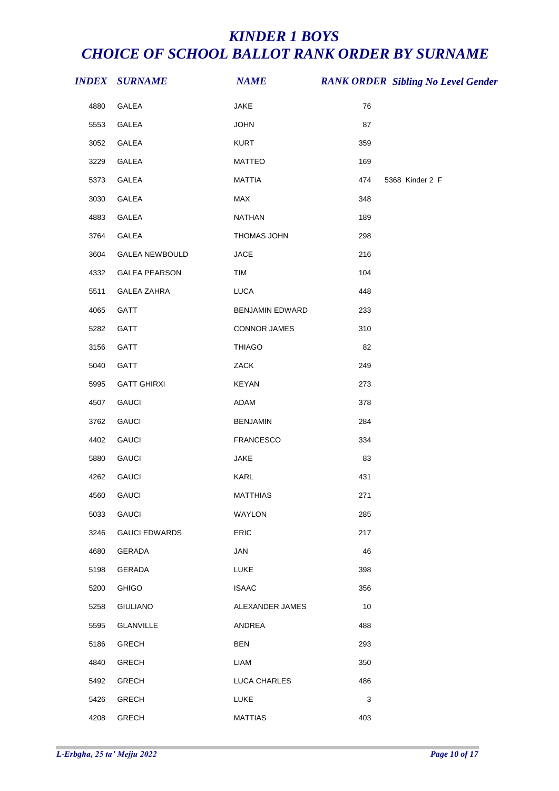|      | <b>INDEX SURNAME</b>  | <b>NAME</b>      | <b>RANK ORDER Sibling No Level Gender</b> |  |
|------|-----------------------|------------------|-------------------------------------------|--|
| 4880 | GALEA                 | JAKE             | 76                                        |  |
| 5553 | GALEA                 | <b>JOHN</b>      | 87                                        |  |
| 3052 | GALEA                 | <b>KURT</b>      | 359                                       |  |
| 3229 | GALEA                 | <b>MATTEO</b>    | 169                                       |  |
| 5373 | GALEA                 | <b>MATTIA</b>    | 474<br>5368 Kinder 2 F                    |  |
| 3030 | GALEA                 | MAX              | 348                                       |  |
| 4883 | GALEA                 | <b>NATHAN</b>    | 189                                       |  |
| 3764 | GALEA                 | THOMAS JOHN      | 298                                       |  |
| 3604 | <b>GALEA NEWBOULD</b> | <b>JACE</b>      | 216                                       |  |
| 4332 | <b>GALEA PEARSON</b>  | TIM              | 104                                       |  |
| 5511 | <b>GALEA ZAHRA</b>    | <b>LUCA</b>      | 448                                       |  |
| 4065 | GATT                  | BENJAMIN EDWARD  | 233                                       |  |
| 5282 | GATT                  | CONNOR JAMES     | 310                                       |  |
| 3156 | GATT                  | <b>THIAGO</b>    | 82                                        |  |
| 5040 | GATT                  | ZACK             | 249                                       |  |
| 5995 | <b>GATT GHIRXI</b>    | <b>KEYAN</b>     | 273                                       |  |
| 4507 | <b>GAUCI</b>          | ADAM             | 378                                       |  |
| 3762 | <b>GAUCI</b>          | <b>BENJAMIN</b>  | 284                                       |  |
| 4402 | <b>GAUCI</b>          | <b>FRANCESCO</b> | 334                                       |  |
| 5880 | <b>GAUCI</b>          | JAKE             | 83                                        |  |
| 4262 | <b>GAUCI</b>          | KARL             | 431                                       |  |
| 4560 | <b>GAUCI</b>          | <b>MATTHIAS</b>  | 271                                       |  |
| 5033 | <b>GAUCI</b>          | WAYLON           | 285                                       |  |
| 3246 | <b>GAUCI EDWARDS</b>  | ERIC             | 217                                       |  |
| 4680 | GERADA                | JAN              | 46                                        |  |
| 5198 | GERADA                | <b>LUKE</b>      | 398                                       |  |
| 5200 | <b>GHIGO</b>          | <b>ISAAC</b>     | 356                                       |  |
| 5258 | <b>GIULIANO</b>       | ALEXANDER JAMES  | 10                                        |  |
| 5595 | <b>GLANVILLE</b>      | ANDREA           | 488                                       |  |
| 5186 | <b>GRECH</b>          | <b>BEN</b>       | 293                                       |  |
| 4840 | <b>GRECH</b>          | LIAM             | 350                                       |  |
| 5492 | <b>GRECH</b>          | LUCA CHARLES     | 486                                       |  |
| 5426 | <b>GRECH</b>          | LUKE             | 3                                         |  |
| 4208 | <b>GRECH</b>          | <b>MATTIAS</b>   | 403                                       |  |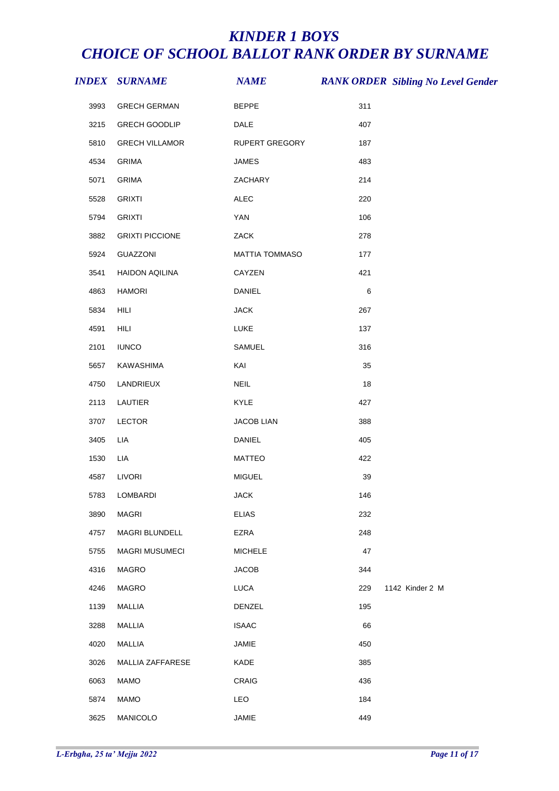|      | <b>INDEX SURNAME</b>   | <b>NAME</b>       |     | <b>RANK ORDER Sibling No Level Gender</b> |
|------|------------------------|-------------------|-----|-------------------------------------------|
| 3993 | <b>GRECH GERMAN</b>    | <b>BEPPE</b>      | 311 |                                           |
| 3215 | <b>GRECH GOODLIP</b>   | DALE              | 407 |                                           |
| 5810 | <b>GRECH VILLAMOR</b>  | RUPERT GREGORY    | 187 |                                           |
| 4534 | <b>GRIMA</b>           | <b>JAMES</b>      | 483 |                                           |
| 5071 | <b>GRIMA</b>           | ZACHARY           | 214 |                                           |
| 5528 | <b>GRIXTI</b>          | <b>ALEC</b>       | 220 |                                           |
| 5794 | <b>GRIXTI</b>          | YAN               | 106 |                                           |
| 3882 | <b>GRIXTI PICCIONE</b> | ZACK              | 278 |                                           |
| 5924 | GUAZZONI               | MATTIA TOMMASO    | 177 |                                           |
| 3541 | HAIDON AQILINA         | CAYZEN            | 421 |                                           |
| 4863 | <b>HAMORI</b>          | <b>DANIEL</b>     | 6   |                                           |
| 5834 | HILI                   | <b>JACK</b>       | 267 |                                           |
| 4591 | HILI                   | LUKE              | 137 |                                           |
| 2101 | <b>IUNCO</b>           | SAMUEL            | 316 |                                           |
| 5657 | KAWASHIMA              | KAI               | 35  |                                           |
| 4750 | LANDRIEUX              | NEIL              | 18  |                                           |
| 2113 | LAUTIER                | KYLE              | 427 |                                           |
| 3707 | LECTOR                 | <b>JACOB LIAN</b> | 388 |                                           |
| 3405 | LIA                    | DANIEL            | 405 |                                           |
| 1530 | LIA                    | <b>MATTEO</b>     | 422 |                                           |
| 4587 | <b>LIVORI</b>          | <b>MIGUEL</b>     | 39  |                                           |
|      | 5783 LOMBARDI          | <b>JACK</b>       | 146 |                                           |
| 3890 | <b>MAGRI</b>           | <b>ELIAS</b>      | 232 |                                           |
| 4757 | MAGRI BLUNDELL         | <b>EZRA</b>       | 248 |                                           |
| 5755 | <b>MAGRI MUSUMECI</b>  | <b>MICHELE</b>    | 47  |                                           |
| 4316 | MAGRO                  | <b>JACOB</b>      | 344 |                                           |
| 4246 | MAGRO                  | LUCA              | 229 | 1142 Kinder 2 M                           |
| 1139 | MALLIA                 | DENZEL            | 195 |                                           |
| 3288 | MALLIA                 | <b>ISAAC</b>      | 66  |                                           |
| 4020 | MALLIA                 | JAMIE             | 450 |                                           |
| 3026 | MALLIA ZAFFARESE       | KADE              | 385 |                                           |
| 6063 | <b>MAMO</b>            | CRAIG             | 436 |                                           |
| 5874 | <b>MAMO</b>            | LEO               | 184 |                                           |
| 3625 | MANICOLO               | JAMIE             | 449 |                                           |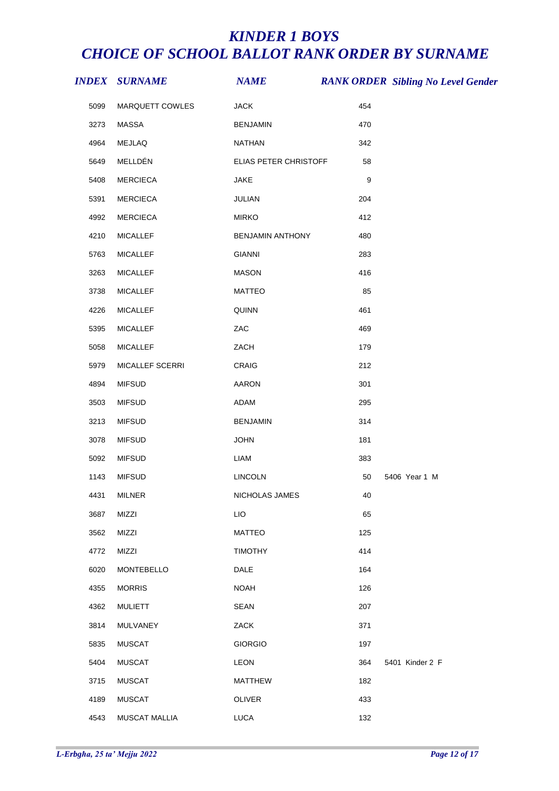|      | <b>INDEX SURNAME</b> | <b>NAME</b>             |                  | <b>RANK ORDER Sibling No Level Gender</b> |
|------|----------------------|-------------------------|------------------|-------------------------------------------|
| 5099 | MARQUETT COWLES      | <b>JACK</b>             | 454              |                                           |
| 3273 | MASSA                | <b>BENJAMIN</b>         | 470              |                                           |
| 4964 | MEJLAQ               | NATHAN                  | 342              |                                           |
| 5649 | MELLDÉN              | ELIAS PETER CHRISTOFF   | 58               |                                           |
| 5408 | <b>MERCIECA</b>      | <b>JAKE</b>             | $\boldsymbol{9}$ |                                           |
| 5391 | <b>MERCIECA</b>      | JULIAN                  | 204              |                                           |
| 4992 | <b>MERCIECA</b>      | <b>MIRKO</b>            | 412              |                                           |
| 4210 | <b>MICALLEF</b>      | <b>BENJAMIN ANTHONY</b> | 480              |                                           |
| 5763 | <b>MICALLEF</b>      | <b>GIANNI</b>           | 283              |                                           |
| 3263 | <b>MICALLEF</b>      | <b>MASON</b>            | 416              |                                           |
| 3738 | <b>MICALLEF</b>      | <b>MATTEO</b>           | 85               |                                           |
| 4226 | <b>MICALLEF</b>      | QUINN                   | 461              |                                           |
| 5395 | <b>MICALLEF</b>      | ZAC                     | 469              |                                           |
| 5058 | <b>MICALLEF</b>      | ZACH                    | 179              |                                           |
| 5979 | MICALLEF SCERRI      | CRAIG                   | 212              |                                           |
| 4894 | <b>MIFSUD</b>        | AARON                   | 301              |                                           |
| 3503 | <b>MIFSUD</b>        | ADAM                    | 295              |                                           |
| 3213 | <b>MIFSUD</b>        | <b>BENJAMIN</b>         | 314              |                                           |
| 3078 | <b>MIFSUD</b>        | <b>JOHN</b>             | 181              |                                           |
| 5092 | <b>MIFSUD</b>        | LIAM                    | 383              |                                           |
| 1143 | <b>MIFSUD</b>        | <b>LINCOLN</b>          | 50               | 5406 Year 1 M                             |
|      | 4431 MILNER          | NICHOLAS JAMES          | 40               |                                           |
| 3687 | MIZZI                | LIO                     | 65               |                                           |
| 3562 | MIZZI                | <b>MATTEO</b>           | 125              |                                           |
| 4772 | MIZZI                | <b>TIMOTHY</b>          | 414              |                                           |
| 6020 | <b>MONTEBELLO</b>    | DALE                    | 164              |                                           |
| 4355 | <b>MORRIS</b>        | <b>NOAH</b>             | 126              |                                           |
| 4362 | <b>MULIETT</b>       | <b>SEAN</b>             | 207              |                                           |
| 3814 | MULVANEY             | ZACK                    | 371              |                                           |
| 5835 | <b>MUSCAT</b>        | <b>GIORGIO</b>          | 197              |                                           |
| 5404 | <b>MUSCAT</b>        | <b>LEON</b>             | 364              | 5401 Kinder 2 F                           |
| 3715 | <b>MUSCAT</b>        | <b>MATTHEW</b>          | 182              |                                           |
| 4189 | <b>MUSCAT</b>        | OLIVER                  | 433              |                                           |
| 4543 | MUSCAT MALLIA        | <b>LUCA</b>             | 132              |                                           |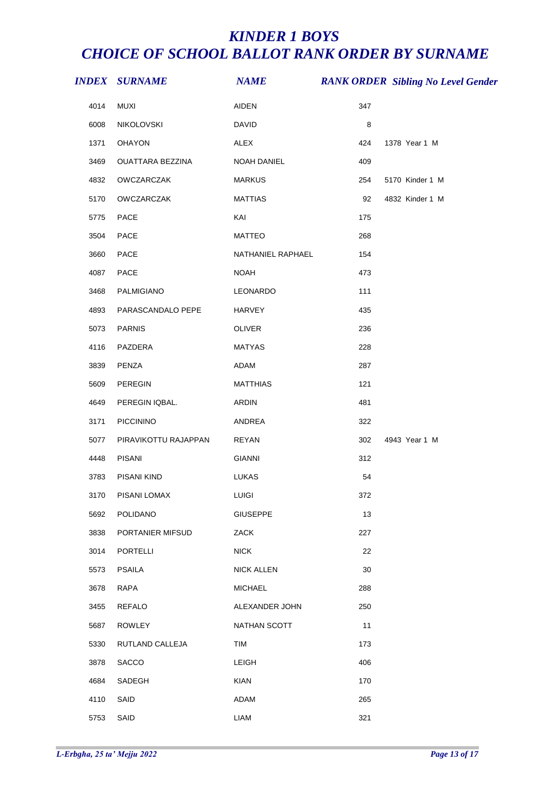|      | <i><b>INDEX SURNAME</b></i> | $\boldsymbol{N\!\!A\!M\!E}$ |     | <b>RANK ORDER Sibling No Level Gender</b> |
|------|-----------------------------|-----------------------------|-----|-------------------------------------------|
| 4014 | <b>MUXI</b>                 | AIDEN                       | 347 |                                           |
| 6008 | NIKOLOVSKI                  | <b>DAVID</b>                | 8   |                                           |
| 1371 | OHAYON                      | <b>ALEX</b>                 | 424 | 1378 Year 1 M                             |
| 3469 | OUATTARA BEZZINA            | NOAH DANIEL                 | 409 |                                           |
| 4832 | OWCZARCZAK                  | <b>MARKUS</b>               | 254 | 5170 Kinder 1 M                           |
| 5170 | OWCZARCZAK                  | <b>MATTIAS</b>              | 92  | 4832 Kinder 1 M                           |
| 5775 | PACE                        | KAI                         | 175 |                                           |
| 3504 | PACE                        | MATTEO                      | 268 |                                           |
| 3660 | PACE                        | NATHANIEL RAPHAEL           | 154 |                                           |
| 4087 | PACE                        | <b>NOAH</b>                 | 473 |                                           |
| 3468 | PALMIGIANO                  | LEONARDO                    | 111 |                                           |
| 4893 | PARASCANDALO PEPE           | HARVEY                      | 435 |                                           |
| 5073 | <b>PARNIS</b>               | OLIVER                      | 236 |                                           |
| 4116 | PAZDERA                     | <b>MATYAS</b>               | 228 |                                           |
| 3839 | PENZA                       | ADAM                        | 287 |                                           |
| 5609 | PEREGIN                     | <b>MATTHIAS</b>             | 121 |                                           |
| 4649 | PEREGIN IQBAL.              | <b>ARDIN</b>                | 481 |                                           |
| 3171 | PICCININO                   | ANDREA                      | 322 |                                           |
| 5077 | PIRAVIKOTTU RAJAPPAN        | <b>REYAN</b>                | 302 | 4943 Year 1 M                             |
| 4448 | PISANI                      | <b>GIANNI</b>               | 312 |                                           |
| 3783 | PISANI KIND                 | <b>LUKAS</b>                | 54  |                                           |
|      | 3170 PISANI LOMAX           | LUIGI                       | 372 |                                           |
| 5692 | <b>POLIDANO</b>             | <b>GIUSEPPE</b>             | 13  |                                           |
| 3838 | PORTANIER MIFSUD            | ZACK                        | 227 |                                           |
| 3014 | <b>PORTELLI</b>             | <b>NICK</b>                 | 22  |                                           |
| 5573 | <b>PSAILA</b>               | <b>NICK ALLEN</b>           | 30  |                                           |
| 3678 | RAPA                        | <b>MICHAEL</b>              | 288 |                                           |
| 3455 | <b>REFALO</b>               | ALEXANDER JOHN              | 250 |                                           |
| 5687 | ROWLEY                      | NATHAN SCOTT                | 11  |                                           |
| 5330 | RUTLAND CALLEJA             | <b>TIM</b>                  | 173 |                                           |
| 3878 | SACCO                       | <b>LEIGH</b>                | 406 |                                           |
| 4684 | SADEGH                      | <b>KIAN</b>                 | 170 |                                           |
| 4110 | SAID                        | ADAM                        | 265 |                                           |
| 5753 | SAID                        | LIAM                        | 321 |                                           |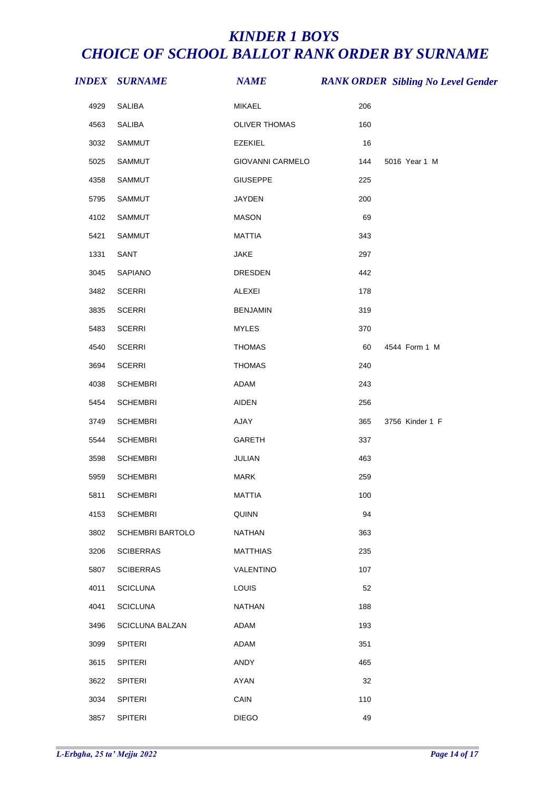|      | <b>INDEX SURNAME</b>    | <b>NAME</b>      |     | <b>RANK ORDER Sibling No Level Gender</b> |
|------|-------------------------|------------------|-----|-------------------------------------------|
| 4929 | <b>SALIBA</b>           | MIKAEL           | 206 |                                           |
| 4563 | SALIBA                  | OLIVER THOMAS    | 160 |                                           |
| 3032 | SAMMUT                  | <b>EZEKIEL</b>   | 16  |                                           |
| 5025 | SAMMUT                  | GIOVANNI CARMELO | 144 | 5016 Year 1 M                             |
| 4358 | SAMMUT                  | <b>GIUSEPPE</b>  | 225 |                                           |
| 5795 | SAMMUT                  | JAYDEN           | 200 |                                           |
| 4102 | SAMMUT                  | <b>MASON</b>     | 69  |                                           |
| 5421 | SAMMUT                  | <b>MATTIA</b>    | 343 |                                           |
| 1331 | SANT                    | JAKE             | 297 |                                           |
| 3045 | SAPIANO                 | <b>DRESDEN</b>   | 442 |                                           |
| 3482 | <b>SCERRI</b>           | ALEXEI           | 178 |                                           |
| 3835 | <b>SCERRI</b>           | <b>BENJAMIN</b>  | 319 |                                           |
| 5483 | <b>SCERRI</b>           | <b>MYLES</b>     | 370 |                                           |
| 4540 | <b>SCERRI</b>           | <b>THOMAS</b>    | 60  | 4544 Form 1 M                             |
| 3694 | <b>SCERRI</b>           | <b>THOMAS</b>    | 240 |                                           |
| 4038 | <b>SCHEMBRI</b>         | ADAM             | 243 |                                           |
| 5454 | <b>SCHEMBRI</b>         | <b>AIDEN</b>     | 256 |                                           |
| 3749 | <b>SCHEMBRI</b>         | AJAY             | 365 | 3756 Kinder 1 F                           |
| 5544 | <b>SCHEMBRI</b>         | GARETH           | 337 |                                           |
| 3598 | <b>SCHEMBRI</b>         | JULIAN           | 463 |                                           |
| 5959 | <b>SCHEMBRI</b>         | <b>MARK</b>      | 259 |                                           |
| 5811 | <b>SCHEMBRI</b>         | <b>MATTIA</b>    | 100 |                                           |
| 4153 | <b>SCHEMBRI</b>         | QUINN            | 94  |                                           |
| 3802 | <b>SCHEMBRI BARTOLO</b> | <b>NATHAN</b>    | 363 |                                           |
| 3206 | <b>SCIBERRAS</b>        | <b>MATTHIAS</b>  | 235 |                                           |
| 5807 | <b>SCIBERRAS</b>        | VALENTINO        | 107 |                                           |
| 4011 | <b>SCICLUNA</b>         | LOUIS            | 52  |                                           |
| 4041 | <b>SCICLUNA</b>         | <b>NATHAN</b>    | 188 |                                           |
| 3496 | <b>SCICLUNA BALZAN</b>  | ADAM             | 193 |                                           |
| 3099 | SPITERI                 | ADAM             | 351 |                                           |
| 3615 | <b>SPITERI</b>          | ANDY             | 465 |                                           |
| 3622 | SPITERI                 | AYAN             | 32  |                                           |
| 3034 | SPITERI                 | CAIN             | 110 |                                           |
| 3857 | SPITERI                 | <b>DIEGO</b>     | 49  |                                           |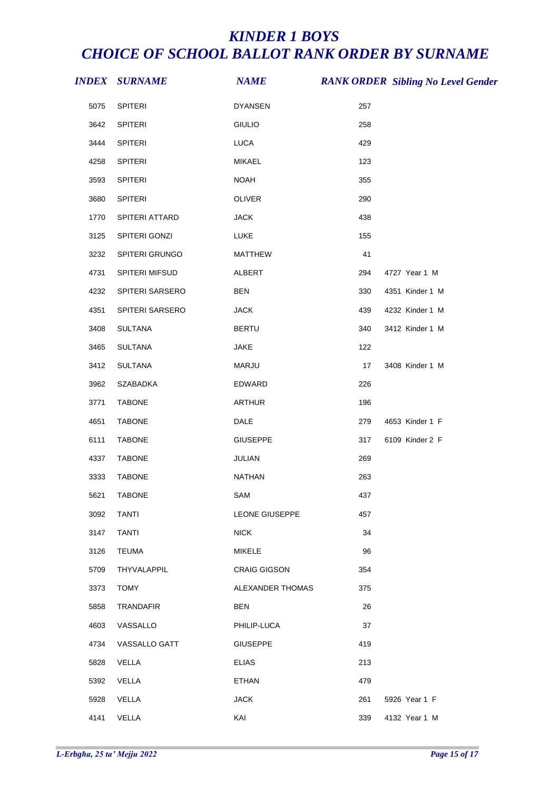|      | <b>INDEX SURNAME</b> | <b>NAME</b>      |     | <b>RANK ORDER Sibling No Level Gender</b> |
|------|----------------------|------------------|-----|-------------------------------------------|
| 5075 | SPITERI              | <b>DYANSEN</b>   | 257 |                                           |
| 3642 | <b>SPITERI</b>       | <b>GIULIO</b>    | 258 |                                           |
| 3444 | <b>SPITERI</b>       | LUCA             | 429 |                                           |
| 4258 | SPITERI              | <b>MIKAEL</b>    | 123 |                                           |
| 3593 | <b>SPITERI</b>       | <b>NOAH</b>      | 355 |                                           |
| 3680 | <b>SPITERI</b>       | OLIVER           | 290 |                                           |
| 1770 | SPITERI ATTARD       | <b>JACK</b>      | 438 |                                           |
| 3125 | SPITERI GONZI        | <b>LUKE</b>      | 155 |                                           |
| 3232 | SPITERI GRUNGO       | <b>MATTHEW</b>   | 41  |                                           |
| 4731 | SPITERI MIFSUD       | ALBERT           | 294 | 4727 Year 1 M                             |
| 4232 | SPITERI SARSERO      | <b>BEN</b>       | 330 | 4351 Kinder 1 M                           |
| 4351 | SPITERI SARSERO      | <b>JACK</b>      | 439 | 4232 Kinder 1 M                           |
| 3408 | <b>SULTANA</b>       | <b>BERTU</b>     | 340 | 3412 Kinder 1 M                           |
| 3465 | <b>SULTANA</b>       | <b>JAKE</b>      | 122 |                                           |
| 3412 | SULTANA              | MARJU            | 17  | 3408 Kinder 1 M                           |
| 3962 | SZABADKA             | EDWARD           | 226 |                                           |
| 3771 | <b>TABONE</b>        | <b>ARTHUR</b>    | 196 |                                           |
| 4651 | <b>TABONE</b>        | DALE             | 279 | 4653 Kinder 1 F                           |
| 6111 | <b>TABONE</b>        | <b>GIUSEPPE</b>  | 317 | 6109 Kinder 2 F                           |
| 4337 | <b>TABONE</b>        | JULIAN           | 269 |                                           |
| 3333 | <b>TABONE</b>        | <b>NATHAN</b>    | 263 |                                           |
| 5621 | <b>TABONE</b>        | SAM              | 437 |                                           |
| 3092 | <b>TANTI</b>         | LEONE GIUSEPPE   | 457 |                                           |
| 3147 | <b>TANTI</b>         | <b>NICK</b>      | 34  |                                           |
| 3126 | <b>TEUMA</b>         | <b>MIKELE</b>    | 96  |                                           |
| 5709 | THYVALAPPIL          | CRAIG GIGSON     | 354 |                                           |
| 3373 | <b>TOMY</b>          | ALEXANDER THOMAS | 375 |                                           |
| 5858 | <b>TRANDAFIR</b>     | <b>BEN</b>       | 26  |                                           |
| 4603 | VASSALLO             | PHILIP-LUCA      | 37  |                                           |
| 4734 | VASSALLO GATT        | <b>GIUSEPPE</b>  | 419 |                                           |
| 5828 | VELLA                | <b>ELIAS</b>     | 213 |                                           |
| 5392 | VELLA                | <b>ETHAN</b>     | 479 |                                           |
| 5928 | VELLA                | <b>JACK</b>      | 261 | 5926 Year 1 F                             |
| 4141 | VELLA                | KAI              | 339 | 4132 Year 1 M                             |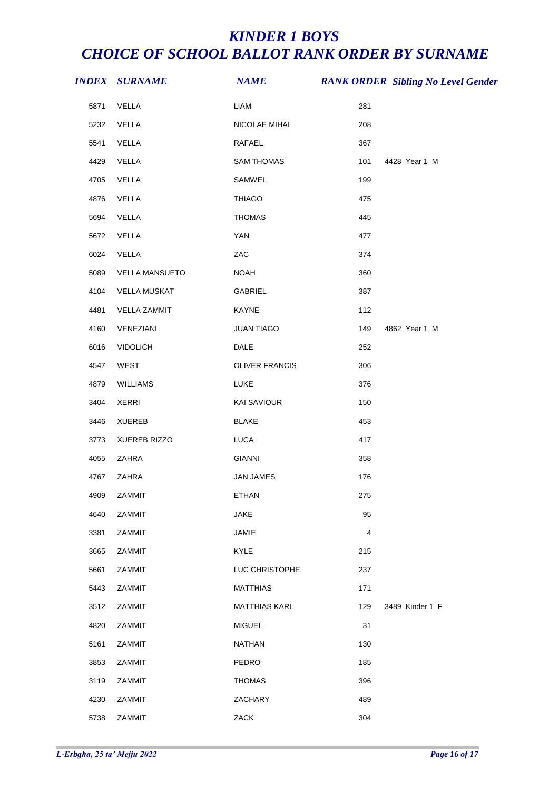|      | <b>INDEX SURNAME</b>  | <b>NAME</b>           |                         | <b>RANK ORDER Sibling No Level Gender</b> |
|------|-----------------------|-----------------------|-------------------------|-------------------------------------------|
| 5871 | VELLA                 | LIAM                  | 281                     |                                           |
| 5232 | VELLA                 | NICOLAE MIHAI         | 208                     |                                           |
| 5541 | VELLA                 | RAFAEL                | 367                     |                                           |
| 4429 | VELLA                 | <b>SAM THOMAS</b>     | 101                     | 4428 Year 1 M                             |
| 4705 | VELLA                 | SAMWEL                | 199                     |                                           |
| 4876 | VELLA                 | <b>THIAGO</b>         | 475                     |                                           |
| 5694 | VELLA                 | <b>THOMAS</b>         | 445                     |                                           |
| 5672 | VELLA                 | <b>YAN</b>            | 477                     |                                           |
| 6024 | VELLA                 | ZAC                   | 374                     |                                           |
| 5089 | <b>VELLA MANSUETO</b> | <b>NOAH</b>           | 360                     |                                           |
| 4104 | <b>VELLA MUSKAT</b>   | GABRIEL               | 387                     |                                           |
| 4481 | <b>VELLA ZAMMIT</b>   | KAYNE                 | 112                     |                                           |
| 4160 | VENEZIANI             | <b>JUAN TIAGO</b>     | 149                     | 4862 Year 1 M                             |
| 6016 | <b>VIDOLICH</b>       | DALE                  | 252                     |                                           |
| 4547 | WEST                  | <b>OLIVER FRANCIS</b> | 306                     |                                           |
| 4879 | WILLIAMS              | LUKE                  | 376                     |                                           |
| 3404 | <b>XERRI</b>          | KAI SAVIOUR           | 150                     |                                           |
| 3446 | <b>XUEREB</b>         | <b>BLAKE</b>          | 453                     |                                           |
| 3773 | XUEREB RIZZO          | <b>LUCA</b>           | 417                     |                                           |
| 4055 | ZAHRA                 | <b>GIANNI</b>         | 358                     |                                           |
| 4767 | ZAHRA                 | JAN JAMES             | 176                     |                                           |
| 4909 | <b>ZAMMIT</b>         | ETHAN                 | 275                     |                                           |
| 4640 | ZAMMIT                | <b>JAKE</b>           | 95                      |                                           |
| 3381 | <b>ZAMMIT</b>         | JAMIE                 | $\overline{\mathbf{4}}$ |                                           |
| 3665 | ZAMMIT                | KYLE                  | 215                     |                                           |
| 5661 | ZAMMIT                | LUC CHRISTOPHE        | 237                     |                                           |
| 5443 | ZAMMIT                | <b>MATTHIAS</b>       | 171                     |                                           |
| 3512 | ZAMMIT                | <b>MATTHIAS KARL</b>  | 129                     | 3489 Kinder 1 F                           |
| 4820 | ZAMMIT                | <b>MIGUEL</b>         | 31                      |                                           |
| 5161 | ZAMMIT                | <b>NATHAN</b>         | 130                     |                                           |
| 3853 | <b>ZAMMIT</b>         | PEDRO                 | 185                     |                                           |
| 3119 | ZAMMIT                | <b>THOMAS</b>         | 396                     |                                           |
| 4230 | ZAMMIT                | ZACHARY               | 489                     |                                           |
| 5738 | ZAMMIT                | ZACK                  | 304                     |                                           |